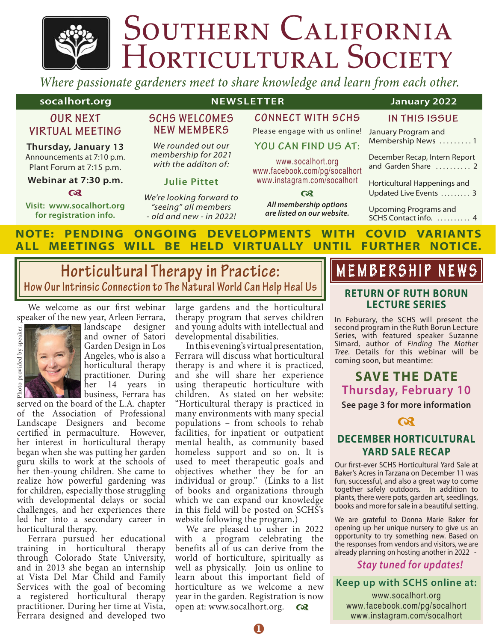# SOUTHERN CALIFORNIA<br>HORTICULTURAL SOCIETY

*Where passionate gardeners meet to share knowledge and learn from each other.*

#### **Socalhort.org NEWSLETTER** January 2022

#### **OUR NEXT VIRTUAL MEETING**

**Thursday, January 13**  Announcements at 7:10 p.m. Plant Forum at 7:15 p.m.

#### **Webinar at 7:30 p.m.**  $\boldsymbol{\alpha}$

**Visit: www.socalhort.org for registration info.**

# **SCHS WELCOMES**

# **NEW MEMBERS** *We rounded out our*

*membership for 2021 with the additon of:*

#### **Julie Pittet**

*We're looking forward to "seeing" all members - old and new - in 2022!*

# **CONNECT WITH SCHS**

Please engage with us online! **YOU CAN FIND US AT:** www.socalhort.org www.facebook.com/pg/socalhort www.instagram.com/socalhort  $\Omega$ *All membership options are listed on our website.*

| IN THIS ISSUE                                          |
|--------------------------------------------------------|
| January Program and<br>Membership News 1               |
| December Recap, Intern Report<br>and Garden Share  2   |
| Horticultural Happenings and<br>Updated Live Events  3 |
| <b>Upcoming Programs and</b><br>SCHS Contact info.  4  |

#### **NOTE: PENDING ONGOING DEVELOPMENTS WITH COVID VARIANTS ALL MEETINGS WILL BE HELD VIRTUALLY UNTIL FURTHER NOTICE.**

# **Horticultural Therapy in Practice: How Our Intrinsic Connection to The Natural World Can Help Heal Us**

We welcome as our first webinar speaker of the new year, Arleen Ferrara,



landscape designer and owner of Satori Garden Design in Los Angeles, who is also a horticultural therapy practitioner. During her 14 years in business, Ferrara has

served on the board of the L.A. chapter of the Association of Professional Landscape Designers and become certified in permaculture. However, her interest in horticultural therapy began when she was putting her garden guru skills to work at the schools of her then-young children. She came to realize how powerful gardening was for children, especially those struggling with developmental delays or social challenges, and her experiences there led her into a secondary career in horticultural therapy.

Ferrara pursued her educational training in horticultural therapy through Colorado State University, and in 2013 she began an internship at Vista Del Mar Child and Family Services with the goal of becoming a registered horticultural therapy practitioner. During her time at Vista, Ferrara designed and developed two

large gardens and the horticultural therapy program that serves children and young adults with intellectual and developmental disabilities.

In this evening's virtual presentation, Ferrara will discuss what horticultural therapy is and where it is practiced, and she will share her experience using therapeutic horticulture with children. As stated on her website: "Horticultural therapy is practiced in many environments with many special populations – from schools to rehab facilities, for inpatient or outpatient mental health, as community based homeless support and so on. It is used to meet therapeutic goals and objectives whether they be for an individual or group." (Links to a list of books and organizations through which we can expand our knowledge in this field will be posted on SCHS's website following the program.)

We are pleased to usher in 2022 with a program celebrating the benefits all of us can derive from the world of horticulture, spiritually as well as physically. Join us online to learn about this important field of horticulture as we welcome a new year in the garden. Registration is now open at: www.socalhort.org. **a** 

# **MEMBERSHIP NEWS**

#### **RETURN OF RUTH BORUN LECTURE SERIES**

In Feburary, the SCHS will present the second program in the Ruth Borun Lecture Series, with featured speaker Suzanne Simard, author of *Finding The Mother Tree*. Details for this webinar will be coming soon, but meantime:

# **SAVE THE DATE Thursday, February 10**

**See page 3 for more information**



### **DECEMBER HORTICULTURAL YARD SALE RECAP**

Our first-ever SCHS Horticultural Yard Sale at Baker's Acres in Tarzana on December 11 was fun, successful, and also a great way to come together safely outdoors. In addition to plants, there were pots, garden art, seedlings, books and more for sale in a beautiful setting.

We are grateful to Donna Marie Baker for opening up her unique nursery to give us an opportunity to try something new. Based on the responses from vendors and visitors, we are already planning on hosting another in 2022 -

#### *Stay tuned for updates!*

**Keep up with SCHS online at:**

www.socalhort.org www.facebook.com/pg/socalhort www.instagram.com/socalhort

 $\mathbf 0$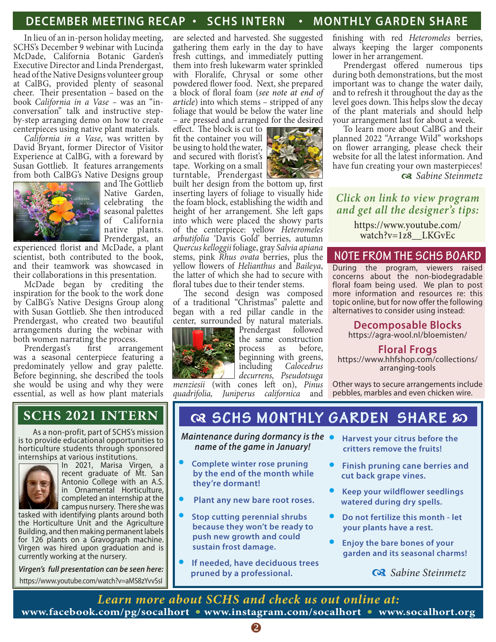## **DECEMBER MEETING RECAP • SCHS INTERN • MONTHLY GARDEN SHARE**

In lieu of an in-person holiday meeting, SCHS's December 9 webinar with Lucinda McDade, California Botanic Garden's Executive Director and Linda Prendergast, head of the Native Designs volunteer group at CalBG, provided plenty of seasonal cheer. Their presentation – based on the book *California in a Vase –* was an "inconversation" talk and instructive stepby-step arranging demo on how to create centerpieces using native plant materials.

*California in a Vase*, was written by David Bryant, former Director of Visitor Experience at CalBG, with a foreward by Susan Gottlieb. It features arrangements from both CalBG's Native Designs group and The Gottlieb



Native Garden, celebrating the seasonal palettes of California native plants. Prendergast, an

experienced florist and McDade, a plant scientist, both contributed to the book, and their teamwork was showcased in their collaborations in this presentation.

McDade began by crediting the inspiration for the book to the work done by CalBG's Native Designs Group along with Susan Gottlieb. She then introduced Prendergast, who created two beautiful arrangements during the webinar with both women narrating the process.

Prendergast's first arrangement was a seasonal centerpiece featuring a predominately yellow and gray palette. Before beginning, she described the tools she would be using and why they were essential, as well as how plant materials

are selected and harvested. She suggested gathering them early in the day to have fresh cuttings, and immediately putting them into fresh lukewarm water sprinkled with Floralife, Chrysal or some other powdered flower food. Next, she prepared a block of floral foam (*see note at end of article*) into which stems – stripped of any foliage that would be below the water line – are pressed and arranged for the desired

effect. The block is cut to fit the container you will be using to hold the water, and secured with florist's tape. Working on a small turntable, Prendergast



built her design from the bottom up, first inserting layers of foliage to visually hide the foam block, establishing the width and height of her arrangement. She left gaps into which were placed the showy parts of the centerpiece: yellow *Heteromeles arbutifolia* 'Davis Gold' berries, autumn *Quercus kelloggii* foliage, gray *Salvia apiana* stems, pink *Rhus ovata* berries, plus the yellow flowers of *Helianthus* and *Baileya*, the latter of which she had to secure with floral tubes due to their tender stems.<br>The second design was composed

of a traditional "Christmas" palette and began with a red pillar candle in the center, surrounded by natural materials.



Prendergast followed the same construction process as before, beginning with greens, including *Calocedrus decurrens, Pseudotsuga* 

*menziesii* (with cones left on), *Pinus quadrifolia, Juniperus californica* and

finishing with red *Heteromeles* berries, always keeping the larger components lower in her arrangement.

Prendergast offered numerous tips during both demonstrations, but the most important was to change the water daily, and to refresh it throughout the day as the level goes down. This helps slow the decay of the plant materials and should help your arrangement last for about a week.

To learn more about CalBG and their planned 2022 "Arrange Wild" workshops on flower arranging, please check their website for all the latest information. And have fun creating your own masterpieces! d *Sabine Steinmetz*

*Click on link to view program and get all the designer's tips:*

> https://www.youtube.com/ watch?v=1z8\_\_LKGvEc

#### **NOTE FROM THE SCHS BOARD**

During the program, viewers raised concerns about the non-biodegradable floral foam being used. We plan to post more information and resources re: this topic online, but for now offer the following alternatives to consider using instead:

# **Decomposable Blocks**

https://agra-wool.nl/bloemisten/

#### **Floral Frogs**

https://www.hhfshop.com/collections/ arranging-tools

Other ways to secure arrangements include pebbles, marbles and even chicken wire.

As a non-profit, part of SCHS's mission is to provide educational opportunities to horticulture students through sponsored internships at various institutions.



In 2021, Marisa Virgen, a recent graduate of Mt. San Antonio College with an A.S. in Ornamental Horticulture, completed an internship at the campus nursery. There she was

tasked with identifying plants around both the Horticulture Unit and the Agriculture Building, and then making permanent labels for 126 plants on a Gravograph machine. Virgen was hired upon graduation and is currently working at the nursery.

*Virgen's full presentation can be seen here:* https://www.youtube.com/watch?v=aMS8zYvvSsI

# **SCHS 2021 INTERN & GCHS MONTHLY GARDEN SHARE** so

*Maintenance during dormancy is the name of the game in January!*

- **• Complete winter rose pruning by the end of the month while they're dormant!**
- **• Plant any new bare root roses.**
- **• Stop cutting perennial shrubs because they won't be ready to push new growth and could sustain frost damage.**
- **• If needed, have deciduous trees pruned by a professional.**
- **• Harvest your citrus before the critters remove the fruits!**
- **• Finish pruning cane berries and cut back grape vines.**
- **• Keep your wildflower seedlings watered during dry spells.**
- **• Do not fertilize this month let your plants have a rest.**
- **• Enjoy the bare bones of your garden and its seasonal charms!**

d *Sabine Steinmetz*

*Learn more about SCHS and check us out online at:* **www.facebook.com/pg/socalhort • www.instagram.com/socalhort • www.socalhort.org**

2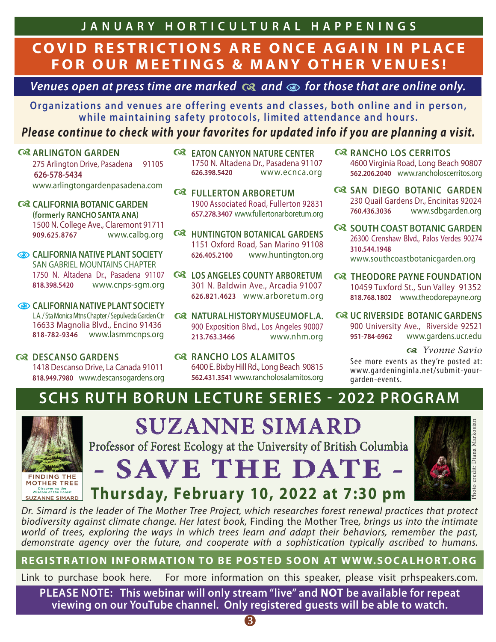**JANUARY HORTICULTUR AL HAPPENI NGS**

# **COVID RESTRICTIONS ARE ONCE AGAIN IN PLACE FOR OUR MEETINGS & MANY OTHER VENUES!**

*Venues open at press time are marked*  $\alpha$  *and*  $\omega$  *for those that are online only.* 

**Organizations and venues are offering events and classes, both online and in person, while maintaining safety protocols, limited attendance and hours.**

# *Please continue to check with your favorites for updated info if you are planning a visit.*

## **ARLINGTON GARDEN**

275 Arlington Drive, Pasadena 91105  **626-578-5434** www.arlingtongardenpasadena.com

- **C**& CALIFORNIA BOTANIC GARDEN **(formerly RANCHO SANTA ANA)** 1500 N. College Ave., Claremont 91711 **909.625.8767** www.calbg.org
- **CALIFORNIA NATIVE PLANT SOCIETY** SAN GABRIEL MOUNTAINS CHAPTER 1750 N. Altadena Dr., Pasadena 91107 **818.398.5420** www.cnps-sgm.org
- **CALIFORNIA NATIVE PLANT SOCIETY** L.A. / Sta Monica Mtns Chapter / Sepulveda Garden Ctr 16633 Magnolia Blvd., Encino 91436 **818-782-9346** www.lasmmcnps.org

**Q3 DESCANSO GARDENS** 1418 Descanso Drive, La Canada 91011 **818.949.7980** www.descansogardens.org

- **C**& EATON CANYON NATURE CENTER 1750 N. Altadena Dr., Pasadena 91107 **626.398.5420** www.ecnca.org
- **Q3 FULLERTON ARBORETUM** 1900 Associated Road, Fullerton 92831 **657.278.3407** www.fullertonarboretum.org
- **Q3 HUNTINGTON BOTANICAL GARDENS** 1151 Oxford Road, San Marino 91108 **626.405.2100** www.huntington.org
- **C& LOS ANGELES COUNTY ARBORETUM** 301 N. Baldwin Ave., Arcadia 91007 **626.821.4623** www.arboretum.org
- **Q NATURAL HISTORY MUSEUM OF L.A.** 900 Exposition Blvd., Los Angeles 90007 **213.763.3466** www.nhm.org
- **RANCHO LOS ALAMITOS** 6400 E. Bixby Hill Rd., Long Beach 90815 **562.431.3541** www.rancholosalamitos.org
- **RANCHO LOS CERRITOS** 4600 Virginia Road, Long Beach 90807 **562.206.2040** www.rancholoscerritos.org
- **Q& SAN DIEGO BOTANIC GARDEN** 230 Quail Gardens Dr., Encinitas 92024 **760.436.3036** www.sdbgarden.org
- **Q SOUTH COAST BOTANIC GARDEN** 26300 Crenshaw Blvd., Palos Verdes 90274 **310.544.1948** www.southcoastbotanicgarden.org
- **Q THEODORE PAYNE FOUNDATION** 10459 Tuxford St., Sun Valley 91352 **818.768.1802** www.theodorepayne.org
- **Q& UC RIVERSIDE BOTANIC GARDENS** 900 University Ave., Riverside 92521 **951-784-6962** www.gardens.ucr.edu

d *Yvonne Savio*

Photo credit: Diana Markosian

Photo credit: Diana Markosian

See more events as they're posted at: www.gardeninginla.net/submit-yourgarden-events.

# **SCHS RUTH BORUN LECTURE SERIES - 2022 PROGRAM**



**SUZANNE SIMARD**

Professor of Forest Ecology at the University of British Columbia



*Dr. Simard is the leader of The Mother Tree Project, which researches forest renewal practices that protect biodiversity against climate change. Her latest book,* Finding the Mother Tree*, brings us into the intimate world of trees, exploring the ways in which trees learn and adapt their behaviors, remember the past, demonstrate agency over the future, and cooperate with a sophistication typically ascribed to humans.*

**REGISTR ATION INFORMATION TO BE POSTED SOON AT WWW.SOC ALHORT.ORG**

Link to purchase book here. For more information on this speaker, please visit prhspeakers.com.

**PLEASE NOTE: This webinar will only stream "live" and NOT be available for repeat viewing on our YouTube channel. Only registered guests will be able to watch.**

8